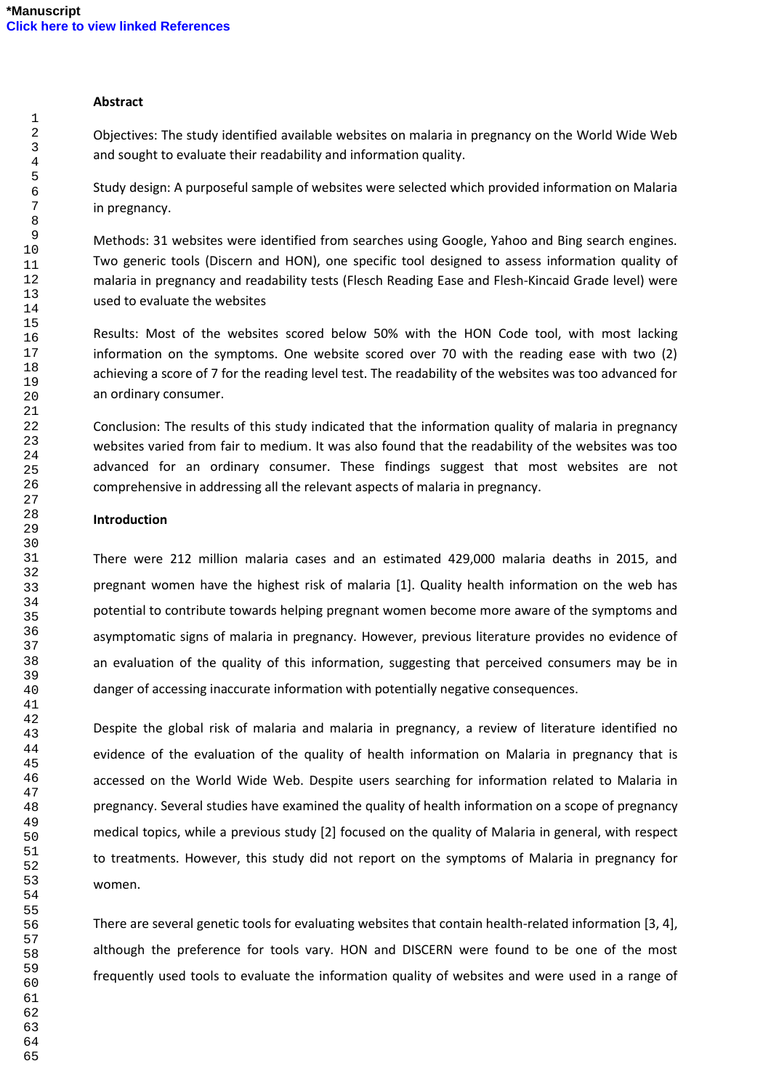### **Abstract**

Objectives: The study identified available websites on malaria in pregnancy on the World Wide Web and sought to evaluate their readability and information quality.

Study design: A purposeful sample of websites were selected which provided information on Malaria in pregnancy.

Methods: 31 websites were identified from searches using Google, Yahoo and Bing search engines. Two generic tools (Discern and HON), one specific tool designed to assess information quality of malaria in pregnancy and readability tests (Flesch Reading Ease and Flesh-Kincaid Grade level) were used to evaluate the websites

Results: Most of the websites scored below 50% with the HON Code tool, with most lacking information on the symptoms. One website scored over 70 with the reading ease with two (2) achieving a score of 7 for the reading level test. The readability of the websites was too advanced for an ordinary consumer.

Conclusion: The results of this study indicated that the information quality of malaria in pregnancy websites varied from fair to medium. It was also found that the readability of the websites was too advanced for an ordinary consumer. These findings suggest that most websites are not comprehensive in addressing all the relevant aspects of malaria in pregnancy.

#### **Introduction**

There were 212 million malaria cases and an estimated 429,000 malaria deaths in 2015, and pregnant women have the highest risk of malaria [1]. Quality health information on the web has potential to contribute towards helping pregnant women become more aware of the symptoms and asymptomatic signs of malaria in pregnancy. However, previous literature provides no evidence of an evaluation of the quality of this information, suggesting that perceived consumers may be in danger of accessing inaccurate information with potentially negative consequences.

Despite the global risk of malaria and malaria in pregnancy, a review of literature identified no evidence of the evaluation of the quality of health information on Malaria in pregnancy that is accessed on the World Wide Web. Despite users searching for information related to Malaria in pregnancy. Several studies have examined the quality of health information on a scope of pregnancy medical topics, while a previous study [2] focused on the quality of Malaria in general, with respect to treatments. However, this study did not report on the symptoms of Malaria in pregnancy for women.

There are several genetic tools for evaluating websites that contain health-related information [3, 4], although the preference for tools vary. HON and DISCERN were found to be one of the most frequently used tools to evaluate the information quality of websites and were used in a range of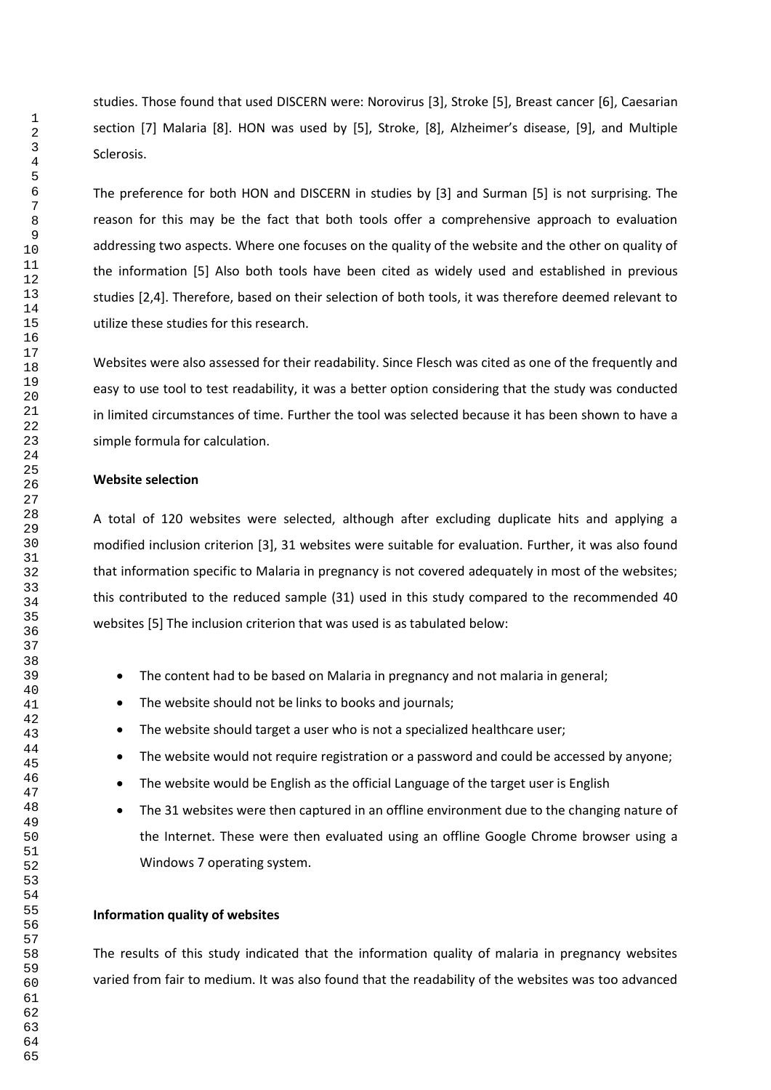studies. Those found that used DISCERN were: Norovirus [3], Stroke [5], Breast cancer [6], Caesarian section [7] Malaria [8]. HON was used by [5], Stroke, [8], Alzheimer's disease, [9], and Multiple Sclerosis.

The preference for both HON and DISCERN in studies by [3] and Surman [5] is not surprising. The reason for this may be the fact that both tools offer a comprehensive approach to evaluation addressing two aspects. Where one focuses on the quality of the website and the other on quality of the information [5] Also both tools have been cited as widely used and established in previous studies [2,4]. Therefore, based on their selection of both tools, it was therefore deemed relevant to utilize these studies for this research.

Websites were also assessed for their readability. Since Flesch was cited as one of the frequently and easy to use tool to test readability, it was a better option considering that the study was conducted in limited circumstances of time. Further the tool was selected because it has been shown to have a simple formula for calculation.

#### **Website selection**

A total of 120 websites were selected, although after excluding duplicate hits and applying a modified inclusion criterion [3], 31 websites were suitable for evaluation. Further, it was also found that information specific to Malaria in pregnancy is not covered adequately in most of the websites; this contributed to the reduced sample (31) used in this study compared to the recommended 40 websites [5] The inclusion criterion that was used is as tabulated below:

- The content had to be based on Malaria in pregnancy and not malaria in general;
- The website should not be links to books and journals;
- The website should target a user who is not a specialized healthcare user;
- The website would not require registration or a password and could be accessed by anyone;
- The website would be English as the official Language of the target user is English
- The 31 websites were then captured in an offline environment due to the changing nature of the Internet. These were then evaluated using an offline Google Chrome browser using a Windows 7 operating system.

#### **Information quality of websites**

The results of this study indicated that the information quality of malaria in pregnancy websites varied from fair to medium. It was also found that the readability of the websites was too advanced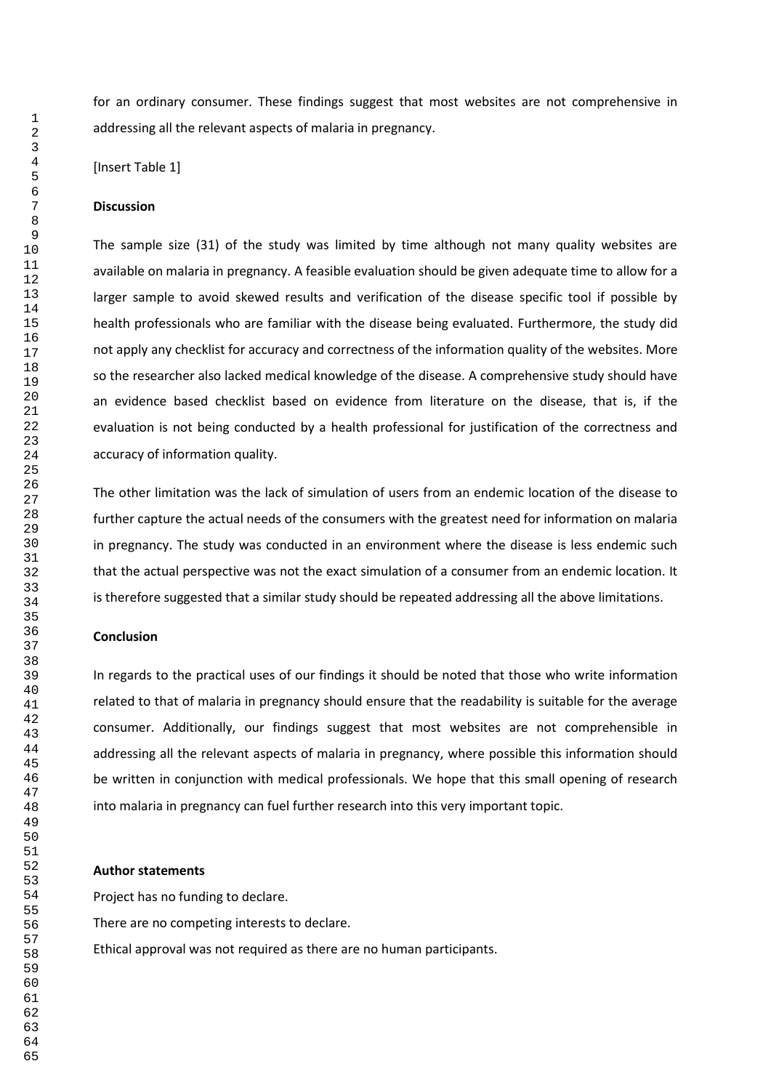for an ordinary consumer. These findings suggest that most websites are not comprehensive in addressing all the relevant aspects of malaria in pregnancy.

[Insert Table 1]

#### **Discussion**

The sample size (31) of the study was limited by time although not many quality websites are available on malaria in pregnancy. A feasible evaluation should be given adequate time to allow for a larger sample to avoid skewed results and verification of the disease specific tool if possible by health professionals who are familiar with the disease being evaluated. Furthermore, the study did not apply any checklist for accuracy and correctness of the information quality of the websites. More so the researcher also lacked medical knowledge of the disease. A comprehensive study should have an evidence based checklist based on evidence from literature on the disease, that is, if the evaluation is not being conducted by a health professional for justification of the correctness and accuracy of information quality.

The other limitation was the lack of simulation of users from an endemic location of the disease to further capture the actual needs of the consumers with the greatest need for information on malaria in pregnancy. The study was conducted in an environment where the disease is less endemic such that the actual perspective was not the exact simulation of a consumer from an endemic location. It is therefore suggested that a similar study should be repeated addressing all the above limitations.

#### **Conclusion**

In regards to the practical uses of our findings it should be noted that those who write information related to that of malaria in pregnancy should ensure that the readability is suitable for the average consumer. Additionally, our findings suggest that most websites are not comprehensible in addressing all the relevant aspects of malaria in pregnancy, where possible this information should be written in conjunction with medical professionals. We hope that this small opening of research into malaria in pregnancy can fuel further research into this very important topic.

#### **Author statements**

Project has no funding to declare.

There are no competing interests to declare.

Ethical approval was not required as there are no human participants.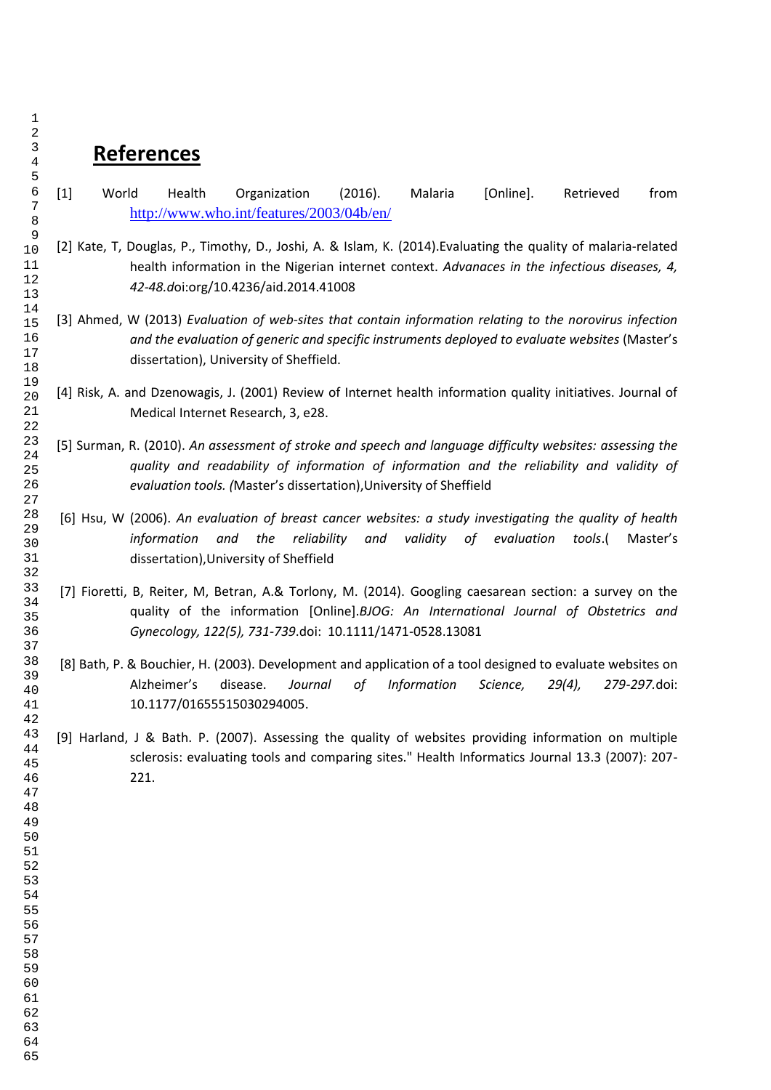# **References**

- [1] World Health Organization (2016). Malaria [Online]. Retrieved from <http://www.who.int/features/2003/04b/en/>
- [2] Kate, T, Douglas, P., Timothy, D., Joshi, A. & Islam, K. (2014).Evaluating the quality of malaria-related health information in the Nigerian internet context. *Advanaces in the infectious diseases, 4, 42-48.d*oi:org/10.4236/aid.2014.41008
- [3] Ahmed, W (2013) *Evaluation of web-sites that contain information relating to the norovirus infection and the evaluation of generic and specific instruments deployed to evaluate websites* (Master's dissertation), University of Sheffield.
- [4] Risk, A. and Dzenowagis, J. (2001) Review of Internet health information quality initiatives. Journal of Medical Internet Research, 3, e28.
- [5] Surman, R. (2010). *An assessment of stroke and speech and language difficulty websites: assessing the quality and readability of information of information and the reliability and validity of evaluation tools. (*Master's dissertation),University of Sheffield
- [6] Hsu, W (2006). *An evaluation of breast cancer websites: a study investigating the quality of health information and the reliability and validity of evaluation tools*.( Master's dissertation),University of Sheffield
- [7] Fioretti, B, Reiter, M, Betran, A.& Torlony, M. (2014). Googling caesarean section: a survey on the quality of the information [Online].*BJOG: An International Journal of Obstetrics and Gynecology, 122(5), 731-739*.doi: 10.1111/1471-0528.13081
- [8] Bath, P. & Bouchier, H. (2003). Development and application of a tool designed to evaluate websites on Alzheimer's disease. *Journal of Information Science, 29(4), 279-297.*doi: 10.1177/01655515030294005.
- [9] Harland, J & Bath. P. (2007). Assessing the quality of websites providing information on multiple sclerosis: evaluating tools and comparing sites." Health Informatics Journal 13.3 (2007): 207- 221.
-